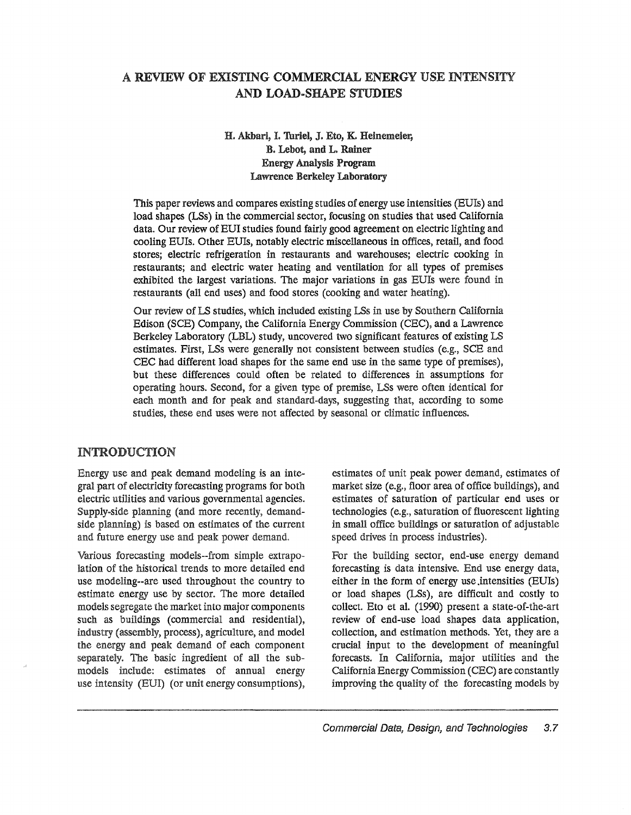# A REVIEW OF EXISTING COMMERCIAL ENERGY USE INTENSI1Y AND LOAD-SHAPE STUDIES

# H. Akbari, I. Turiel, J. Eto, K. Heinemeier, B. Lebot, and L. Rainer Energy Analysis Program Lawrence Berkeley Laboratory

This paper reviews and compares existing studies of energy use intensities (BUIs) and load shapes (LSs) in the commercial sector, focusing on studies that used California data. Our review of EUI studies found fairly good agreement on electric lighting and cooling EUIs. Other EUIs, notably electric miscellaneous in offices, retail, and food stores; electric refrigeration in restaurants and warehouses; electric cooking in restaurants; and electric water heating and ventilation for all types of premises exhibited the largest variations. The major variations in gas EUls were found in restaurants (all end uses) and food stores (cooking and water heating)..

Our review of LS studies, which included existing LSs in use by Southern California Edison (SeE) Company, the california Energy Commission (CEC), and a Lawrence Berkeley Laboratory (LBL) study, uncovered two significant features of existing LS estimates. First, LSs were generally not consistent between studies (e.g., SCE and CEC had different load shapes for the same end use in the same type of premises), but these differences could often be related to differences in assumptions for operating hours. Second, for a given type of premise, LSs were often identical for each month and for peak and standard-days, suggesting that, according to some studies, these end uses were not affected by seasonal or climatic influences..

#### INTRODUCTION

Energy use and peak demand modeling is an integral part of electricity forecasting programs for both electric utilities and various governmental agencies. Supply-side planning (and more recently, demandside planning) is based on estimates of the current and future energy use and peak power demand.

Various forecasting models--from simple extrapolation of the historical trends to more detailed end use modeling--are used throughout the country to estimate energy use by sector. The more detailed models segregate the market into major components such as buildings (commercial and residential), industry (assembly, process), agriculture, and model the energy and peak demand of each component separately. The basic ingredient of all the submodels include: estimates of annual energy use intensity (EDI) (or unit energy consumptions),

estimates of unit peak power demand, estimates of market size (e.g., floor area of office buildings), and estimates of saturation of particular end uses or technologies (e.g., saturation of fluorescent lighting in small office buildings or saturation of adjustable speed drives in process industries)..

For the building sector, end-use energy demand forecasting is data intensive.. End use energy data, either in the form of energy use intensities (EUIs) or load shapes (LSs), are difficult and costly to collect. Eto et al. (1990) present a state-of-the-art review of end-use load shapes data application, collection, and estimation methods. Yet, they are a crucial input to the development of meaningful forecasts.. In California, major utilities and the California Energy Commission (CEC) are constantly improving the quality of the forecasting models by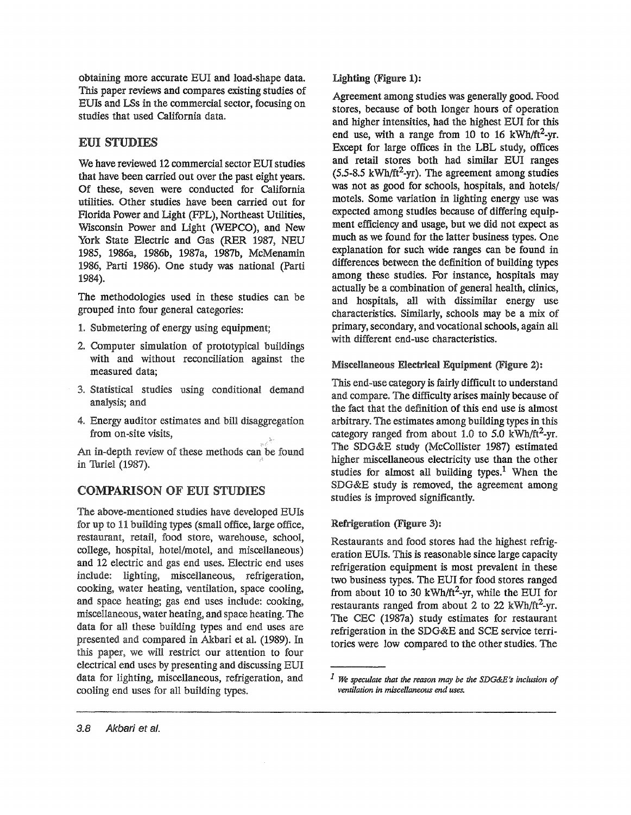obtaining more accurate EUI and load-shape data.. This paper reviews and compares existing studies of EUIs and LSs in the commercial sector, focusing on studies that used California data..

# EUI STUDIES

We have reviewed 12 commercial sector EDI studies that have been carried out over the past eight years.. Of these, seven were conducted for California utilities.. Other studies have been carried out for Florida Power and Light (FPL), Northeast Utilities, Wisconsin Power and Light (WEPCO), and New York State Electric and Gas (RER 1987, NEU 1985, 1986a, 1986b, 1987a, 1987b, McMenamin 1986, Parti 1986). One study was national (Parti 1984)..

The methodologies used in these studies can be grouped into four general categories:

- 1. Submetering of energy using equipment;
- 2.. Computer simulation of prototypical buildings with and without reconciliation against the measured data;
- 3. Statistical studies using conditional demand analysis; and
- 4. Energy auditor estimates and bill disaggregation from on-site visits,

An in-depth review of these methods can be found in Turiel (1987).

# **COMPARISON OF EUI STUDIES**

The above-mentioned studies have developed EUIs for up to 11 building types (small office, large office, restaurant, retail, food store, warehouse, school, college, hospital, hotel/motel, and miscellaneous) and 12 electric and gas end uses. Electric end uses include: lighting, miscellaneous, refrigeration, cooking, water heating, ventilation, space cooling, and space heating; gas end uses include: cooking, miscellaneous, water heating, and space heating. The data for all these building types and end uses are presented and compared in Akbari et al. (1989). In this paper, we will restrict our attention to four electrical end uses by presenting and discussing EUI data for lighting, miscellaneous, refrigeration, and cooling end uses for all building types.

Agreement among studies was generally good. Food stores, because of both longer hours of operation and higher intensities, had the highest EDI for this end use, with a range from 10 to 16 kWh/ft<sup>2</sup>-yr. Except for large offices in the LBL study, offices and retail stores both had similar EDI ranges  $(5.5-8.5 \text{ kWh/ft}^2\text{-yr})$ . The agreement among studies was not as good for schools, hospitals, and hotels/ motels.. Some variation in lighting energy use was expected among studies because of differing equipment efficiency and usage, but we did not expect as much as we found for the latter business types.. One explanation for such wide ranges can be found in differences between the definition of building types among these studies. For instance, hospitals may actually be a combination of general health, clinics, and hospitals, all with dissimilar energy use characteristics.. Similarly, schools may be a mix of primary, secondary, and vocational schools, again all with different end-use characteristics..

# Miscellaneous Electrical Equipment (Figure 2):

This end-use category is fairly difficult to understand and compare. The difficulty arises mainly because of the fact that the definition of this end use is almost arbitrary.. The estimates among building types in this category ranged from about 1.0 to 5.0 kWh/ft<sup>2</sup>-yr. The SDG&E study (McCollister 1987) estimated higher miscellaneous electricity use than the other studies for almost all building types.<sup>1</sup> When the SDG&E study is removed, the agreement among studies is improved significantly.

# Refrigeration (Figure 3):

Restaurants and food stores had the highest refrigeration EUIs. This is reasonable since large capacity refrigeration equipment is most prevalent in these two business types. The EUI for food stores ranged from about 10 to 30 kWh/ft<sup>2</sup>-yr, while the EUI for restaurants ranged from about 2 to 22 kWh/ft<sup>2</sup>-yr. The CEC (1987a) study estimates for restaurant refrigeration in the SDG&E and SCE service territories were low compared to the other studies. The

*<sup>1</sup> we speculate that the reason may be the SDG&E's inclusion of ventilation in miscellaneous end uses.*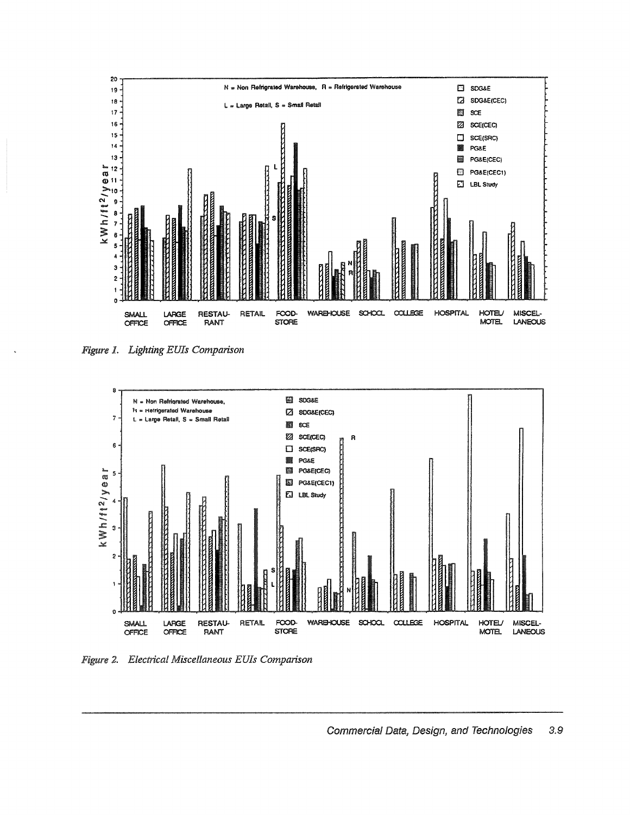

Figure 1. Lighting EUIs Comparison



Figure 2. Electrical Miscellaneous EUIs Comparison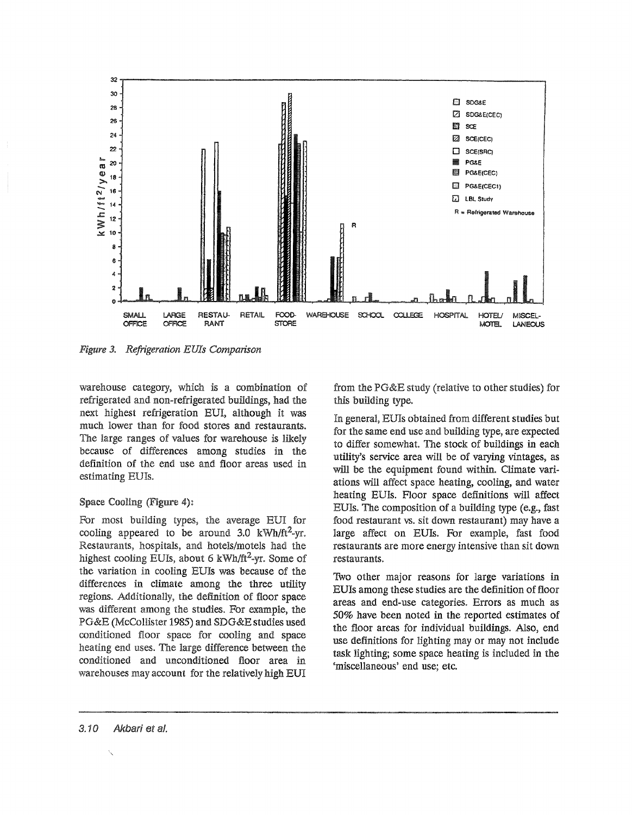

Figure 3. Refrigeration EUIs Comparison

warehouse category, which is a combination of refrigerated and non-refrigerated buildings, had the next highest refrigeration EUI, although it was much lower than for food stores and restaurants. The large ranges of values for warehouse is likely because of differences among studies in the definition of the end use and floor areas used in estimating EUIs.

#### Space Cooling (Figure 4):

For most building types, the average EUI for cooling appeared to be around 3.0  $kWh/ft^2-yr$ . Restaurants, hospitals, and hotels/motels had the highest cooling EUIs, about 6 kWh/ft<sup>2</sup>-yr. Some of the variation in cooling EUIs was because of the differences in climate among the three utility regions. Additionally, the definition of floor space was different among the studies. For example, the PG&E (McCollister 1985) and SDG&E studies used conditioned floor space for cooling and space heating end uses. The large difference between the conditioned and unconditioned floor area in warehouses may account for the relatively high EUI

from the PG&E study (relative to other studies) for this building type.

In general, EUIs obtained from different studies but for the same end use and building type, are expected to differ somewhat. The stock of buildings in each utility's service area will be of varying vintages, as will be the equipment found within. Climate variations will affect space heating, cooling, and water heating EUIs. Floor space definitions will affect EUIs. The composition of a building type (e.g., fast food restaurant vs. sit down restaurant) may have a large affect on EUIs. For example, fast food restaurants are more energy intensive than sit down restaurants.

Two other major reasons for large variations in EUIs among these studies are the definition of floor areas and end-use categories. Errors as much as 50% have been noted in the reported estimates of the floor areas for individual buildings. Also, end use definitions for lighting may or may not include task lighting; some space heating is included in the 'miscellaneous' end use; etc.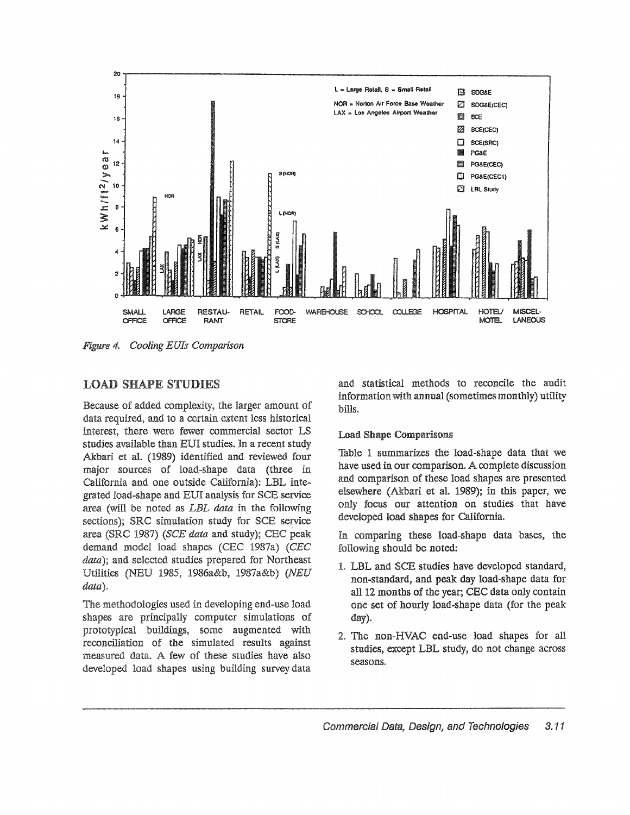

Figure 4. Cooling EUIs Comparison

# **LOAD SHAPE STUDIES**

Because of added complexity, the larger amount of data required, and to a certain extent less historical interest, there were fewer commercial sector LS studies available than EUI studies. In a recent study Akbari et al. (1989) identified and reviewed four major sources of load-shape data (three in California and one outside California): LBL integrated load-shape and EUI analysis for SCE service area (will be noted as LBL data in the following sections); SRC simulation study for SCE service area (SRC 1987) (SCE data and study); CEC peak demand model load shapes (CEC 1987a) (CEC data); and selected studies prepared for Northeast Utilities (NEU 1985, 1986a&b, 1987a&b) (NEU  $data)$ .

The methodologies used in developing end-use load shapes are principally computer simulations of prototypical buildings, some augmented with reconciliation of the simulated results against measured data. A few of these studies have also developed load shapes using building survey data

and statistical methods to reconcile the audit information with annual (sometimes monthly) utility bills.

#### **Load Shape Comparisons**

Table 1 summarizes the load-shape data that we have used in our comparison. A complete discussion and comparison of these load shapes are presented elsewhere (Akbari et al. 1989); in this paper, we only focus our attention on studies that have developed load shapes for California.

In comparing these load-shape data bases, the following should be noted:

- 1. LBL and SCE studies have developed standard, non-standard, and peak day load-shape data for all 12 months of the year; CEC data only contain one set of hourly load-shape data (for the peak day).
- 2. The non-HVAC end-use load shapes for all studies, except LBL study, do not change across seasons.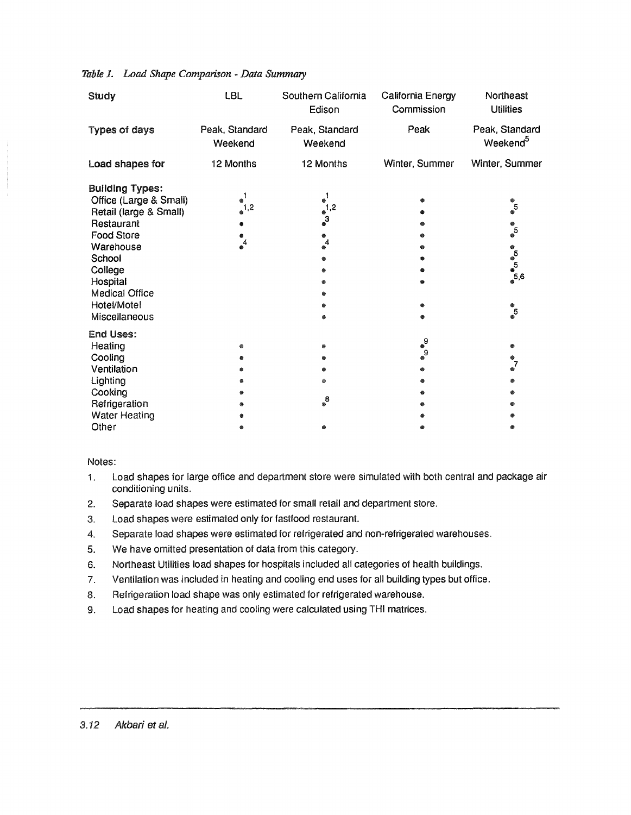| Study                                                                                                                                                                                                                | <b>LBL</b>                            | Southern California<br>Edison                              | California Energy<br>Commission | Northeast<br><b>Utilities</b>                                           |
|----------------------------------------------------------------------------------------------------------------------------------------------------------------------------------------------------------------------|---------------------------------------|------------------------------------------------------------|---------------------------------|-------------------------------------------------------------------------|
| <b>Types of days</b>                                                                                                                                                                                                 | Peak, Standard<br>Weekend             | Peak, Standard<br>Weekend                                  | Peak                            | Peak, Standard<br>Weekend <sup>5</sup>                                  |
| Load shapes for                                                                                                                                                                                                      | 12 Months                             | 12 Months                                                  | Winter, Summer                  | Winter, Summer                                                          |
| <b>Building Types:</b><br>Office (Large & Small)<br>Retail (large & Small)<br>Restaurant<br><b>Food Store</b><br>Warehouse<br>School<br>College<br>Hospital<br><b>Medical Office</b><br>Hotel/Motel<br>Miscellaneous | $\bullet$ <sup>1</sup><br>$^1.2$<br>4 | $\bullet$ <sup>1</sup><br>$\frac{1}{2}$<br>$\epsilon$<br>4 |                                 | $\circ 5$<br>$\circ 5$<br>෧<br><sub>෧෮</sub> ෧෧<br>෬<br>$\frac{1}{2}$ 5 |
| <b>End Uses:</b><br>Heating<br>Cooling<br>Ventilation<br>Lighting<br>Cooking<br>Refrigeration<br><b>Water Heating</b><br>Other                                                                                       | ▩<br>⋒                                | ۵<br>۵<br>$\mathrm{g}^{\mathrm{B}}$                        | ೈ<br>$\int_{0}^{2}$             | ۰<br>្វី<br>▩                                                           |

### *Table 1. Load Shape Comparison - Data Summary*

#### Notes:

- 1. Load shapes for large office and department store were simulated with both central and package air conditioning units.
- 2. Separate load shapes were estimated for small retail and department store.
- 3. Load shapes were estimated only for fastfood restaurant.
- 4. Separate load shapes were estimated for refrigerated and non-refrigerated warehouses.
- 5. We have omitted presentation of data from this category.
- 6. Northeast Utilities load shapes for hospitals included all categories of health buildings.
- 7. Ventilation was included in heating and cooling end uses for all building types but office.
- 8. Refrigeration load shape was only estimated for refrigerated warehouse.
- 9. Load shapes for heating and cooling were calculated using THI matrices.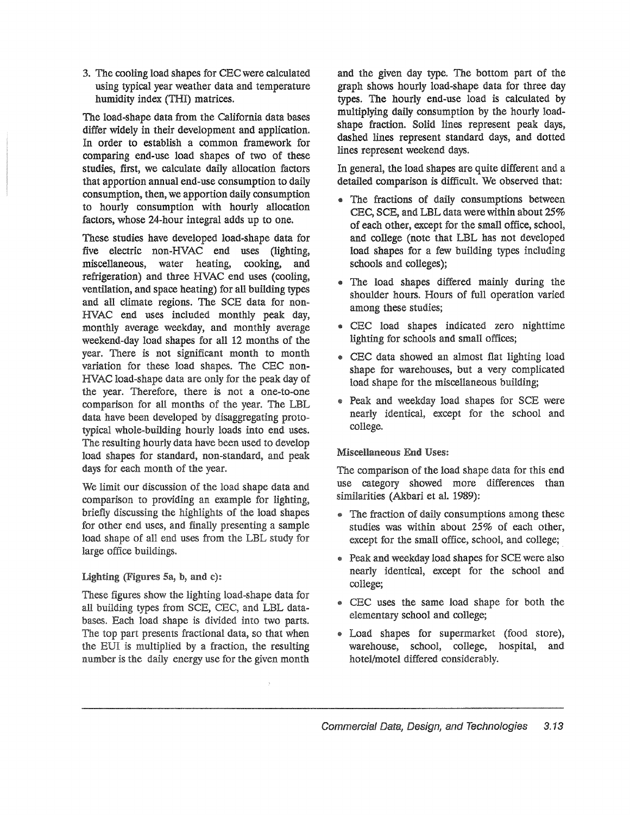3. The cooling load shapes for CEC were calculated using typical year weather data and temperature humidity index (THI) matrices.

The load-shape data from the california data bases differ widely in their development and application.. In order to establish a common framework for comparing end-use load shapes of two of these studies, first, we calculate daily allocation factors that apportion annual end-use consumption to daily consumption, then, we apportion daily consumption to hourly consumption with hourly allocation factors, whose 24-hour integral adds up to one.

These studies have developed load-shape data for five electric non-HVAC end uses (lighting, miscellaneous, water heating, cooking, and refrigeration) and three HVAC end uses (cooling, ventilation, and space heating) for all building types and all climate regions. The SCE data for non-HVAC end uses included monthly peak day, monthly average weekday, and monthly average weekend-day load shapes for all 12 months of the year. There is not significant month to month variation for these load shapes.. The CEC non-HVAC load-shape data are only for the peak day of the year. Therefore, there is not a one-to-one comparison for all months of the year. The LBL data have been developed by disaggregating typical whole-building hourly loads into end uses. The resulting hourly data have been used to develop. load shapes for standard, non-standard, and days for each month of the year.

We limit our discussion of the load shape data and comparison to providing an example for lighting, briefly discussing the highlights of the load shapes for other end uses, and finally presenting a sample load shape of all end uses from the LBL study for large office buildings.

# Lighting (Figures 5a, b, and c):

These figures show the lighting load-shape data for all building types from SCE, CEC, and LBL databases" Each load shape is divided into two parts. The top part presents fractional data, so that when the EUI is multiplied by a fraction, the resulting number is the daily energy use for the given month and the given day type. The bottom part of the graph shows hourly load-shape data for three day types.. The hourly end-use load is calculated by multiplying daily consumption by the hourly loadshape fraction.. Solid lines represent peak days, dashed lines represent standard days, and dotted lines represent weekend days..

In general, the load shapes are quite different and a detailed comparison is difficult. We observed that:

- @ The fractions of daily consumptions between CEC, SCE, and LBL data were within about 25% of each other, except for the small office, school, and college (note that LBL has not developed load shapes for a few building types including schools and colleges);
- The load shapes differed mainly during the shoulder hours. Hours of full operation varied among these studies;
- @ CEC load shapes indicated zero nighttime lighting for schools and small offices;
- @ CEC data showed an almost flat lighting load shape for warehouses, but a very complicated load shape for the miscellaneous building;
- Peak and weekday load shapes for SCE were nearly identical, except for the school and college..

# Miscellaneous End Uses:

The comparison of the load shape data for this end use category showed more differences than similarities (Akbari et al. 1989):

- The fraction of daily consumptions among these studies was within about 25% of each other, except for the small office, school, and college;
- Peak and weekday load shapes for SCE were also nearly identical, except for the school and college;
- @ CEC uses the same load shape for both the elementary school and college;
- @ Load shapes for supermarket (food store), warehouse, school, college, hospital, and hotel/motel differed considerably..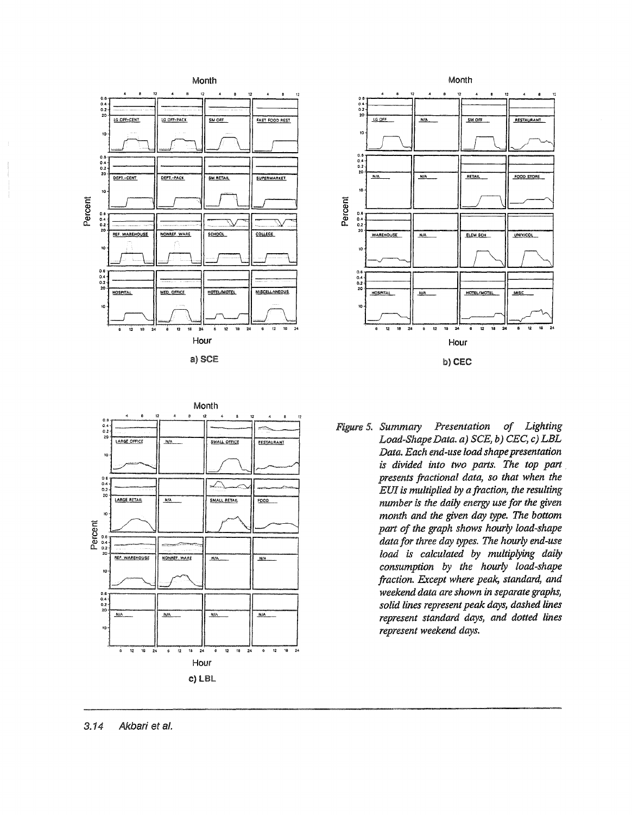







*5\* Summary Presentation of Lighting Load-Shape Data. a)*  $SCE$ , *b)*  $CEC$ , *c)*  $LBL$ *Data.* Each end-use load shape presentation *is divided into two parts. The top part presents fractional data, so that when the EUIis multiplied by a fraction, the resulting number* is *the daily energy use for the given month and the given day type. The bottom part of the graph shows hourly load-shape data for three day* types~ *The hourly end-use load is calculated by multiplying daily consumption* by *the hourly load-shape fraction. Except where peak, standard, and weekend data are shown in separate graphs, solid lines representpeak days, dashed lines represent standard days, and dotted lines represent weekend days.*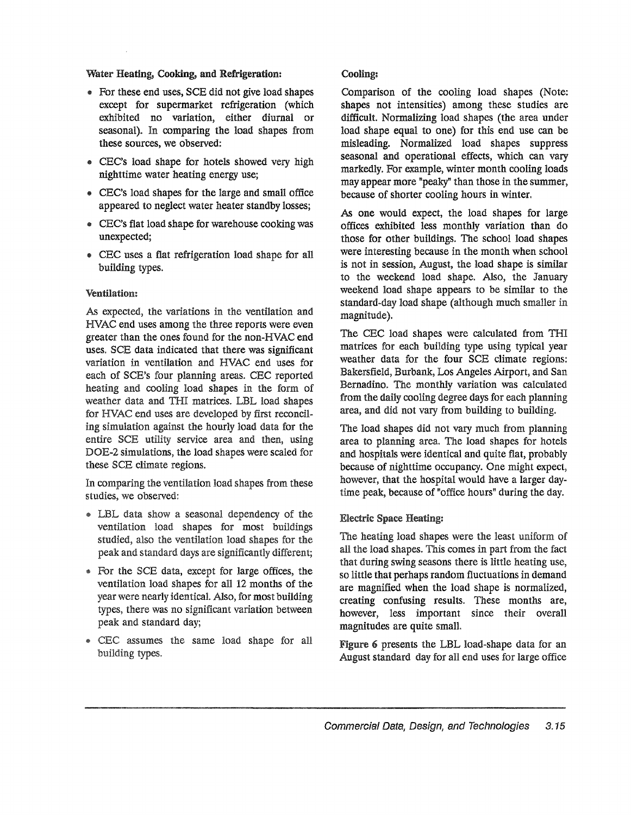#### Water Heating, Cooking, and Refrigeration:

- For these end uses, SCE did not give load shapes except for supermarket refrigeration (which exhibited no variation, either diurnal or seasonal). In comparing the load shapes from these sources, we observed:
- CEC's load shape for hotels showed very high nighttime water heating energy use;
- .. CEC's load shapes for the large and small office appeared to neglect water heater standby losses;
- CEC's flat load shape for warehouse cooking was unexpected;
- CEC uses a flat refrigeration load shape for all building types.

#### Ventilation:

As expected, the variations in the ventilation and HVAC end uses among the three reports were even greater than the ones found for the non-HVAC end uses. SCE data indicated that there was significant variation in ventilation and HVAC end uses for each of SCE's four planning areas. CEC reported heating and cooling load shapes in the form of weather data and THI matrices. LBL load shapes for HVAC end uses are developed by first reconciling simulation against the hourly load data for the entire SCE utility service area and then, using DOE-2 simulations, the load shapes were scaled for these SCE climate regions.

In comparing the ventilation load shapes from these studies, we observed:

- @ LBL data show a seasonal dependency of the ventilation load shapes for most buildings studied, also the ventilation load shapes for the peak and standard days are significantly different;
- For the SCE data, except for large offices, the ventilation load shapes for all 12 months of the year were nearly identical. Also, for most building types, there was no significant variation between peak and standard day;
- @ CEC assumes the same load shape for all building types.

### Cooling:

Comparison of the cooling load shapes (Note: shapes not intensities) among these studies are difficult. Normalizing load shapes (the area under load shape equal to one) for this end use can be misleading. Normalized load shapes suppress seasonal and operational effects, which can vary markedly. For example, winter month cooling loads may appear more "peaky" than those in the summer, because of shorter cooling hours in winter.

As one would expect, the load shapes for large offices exhibited less monthly variation than do those for other buildings. The school load shapes were interesting because in the month when school is not in session, August, the load shape is similar to the weekend load shape. Also, the January weekend load shape appears to be similar to the standard-day load shape (although much smaller in magnitude).

The CEC load shapes were calculated from THI matrices for each building type using typical year weather data for the four SCE climate regions: Bakersfield, Burbank, Los Angeles Airport, and San Bernadino. The monthly variation was calculated from the daily cooling degree days for each planning area, and did not vary from building to building.

The load shapes did not vary much from planning area to planning area. The load shapes for hotels and hospitals were identical and quite flat, probably because of nighttime occupancy. One might expect, however, that the hospital would have a larger daytime peak, because of "office hours" during the day.

# Electric Space Heating:

The heating load shapes were the least uniform of all the load shapes. This comes in part from the fact that during swing seasons there is little heating use, so little that perhaps random fluctuations in demand are magnified when the load shape is normalized, creating confusing results. These months are, however, less important since their overall magnitudes are quite smalt

Figure 6 presents the LBL load-shape data for an August standard day for all end uses for large office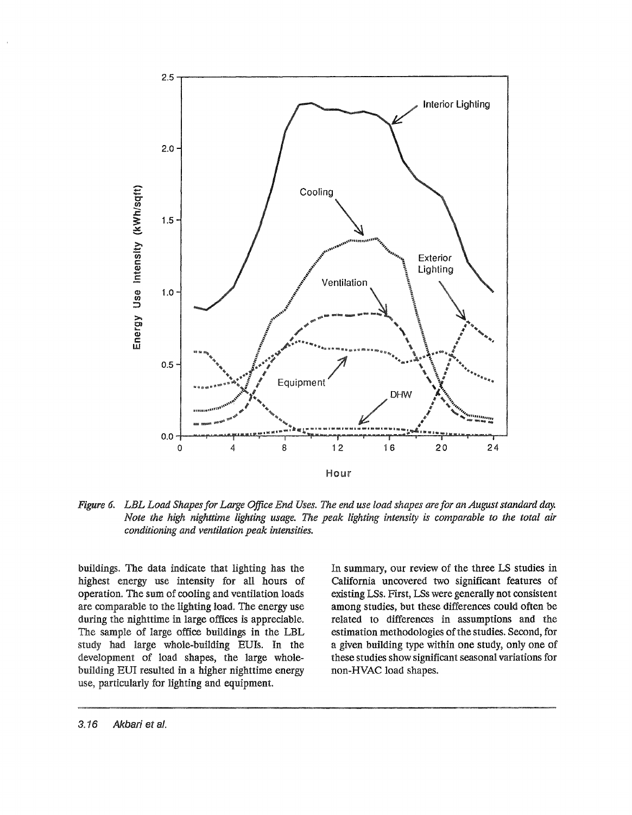

Figure 6. LBL Load Shapes for Large Office End Uses. The end use load shapes are for an August standard day. Note the high nighttime lighting usage. The peak lighting intensity is comparable to the total air conditioning and ventilation peak intensities.

buildings. The data indicate that lighting has the highest energy use intensity for all hours of operation. The sum of cooling and ventilation loads are comparable to the lighting load. The energy use during the nighttime in large offices is appreciable. The sample of large office buildings in the LBL study had large whole-building EUIs. In the development of load shapes, the large wholebuilding EUI resulted in a higher nighttime energy use, particularly for lighting and equipment.

In summary, our review of the three LS studies in California uncovered two significant features of existing LSs. First, LSs were generally not consistent among studies, but these differences could often be related to differences in assumptions and the estimation methodologies of the studies. Second, for a given building type within one study, only one of these studies show significant seasonal variations for non-HVAC load shapes.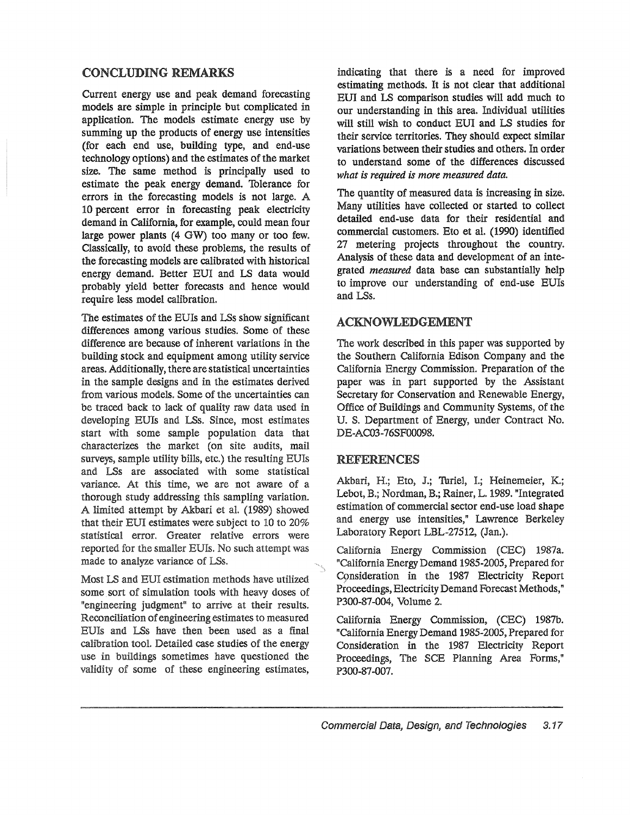# CONCLUDING REMARKS

Current energy use and peak demand forecasting models are simple in principle but complicated in application. The models estimate energy use by summing up the products of energy use intensities (for each end use, building type, and end-use technology options) and the estimates of the market size. The same method is principally used to estimate the peak energy demand. Thlerance for errors in the forecasting models is not large. A 10 percent error in forecasting peak electricity demand in california, for example, could mean four large power plants (4 OW) too many or too few. Classically, to avoid these problems, the results of the forecasting models are calibrated with historical energy demand.. Better EUI and LS data would probably yield better forecasts and hence would require less model calibration.

The estimates of the EUIs and LSs show significant differences among various studies.. Some of these difference are because of inherent variations in the building stock and equipment among utility service areas.. Additionally, there are statistical uncertainties in the sample designs and in the estimates derived from various models. Some of the uncertainties can be traced back to lack of quality raw data used in developing EUIs and LSs. Since, most estimates start with some sample population data that characterizes the market (on site audits, mail surveys, sample utility bills, etc.) the resulting EUls and LSs are associated with some statistical variance. At this time, we are not aware of a thorough study addressing this sampling variation. A limited attempt by Akbari et al. (1989) showed that their EUI estimates were subject to 10 to 20% statistical error. Greater relative errors were reported for the smaller EUIs. No such attempt was made to analyze variance of LSs.

Most LS and EUI estimation methods have utilized some,sort of simulation tools with heavy doses of "engineering judgment" to arrive at their results.. Reconciliation of engineering estimates to measured EUIs and LSs have then been used as a final calibration tool. Detailed case studies of the energy use in buildings sometimes have questioned the validity of some of these engineering estimates,

indicating that there is a need for improved estimating methods. It is not clear that additional EDI and LS comparison studies will add much to our understanding in this area. Individual utilities will still wish to conduct EUI and LS studies for their service territories. They should expect similar variations between their studies and others. In order to understand some of the differences discussed *what is required is more measured data.*

The quantity of measured data is increasing in size. Many utilities have collected or started to collect detailed end-use data for their residential and commercial customers. Eto et al. (1990) identified 27 metering projects throughout the country. Analysis of these data and development of an integrated *measured* data base can substantially help to improve our understanding of end-use EUls and LSs.

# ACKNOWLEDGEMENT

The work described in this paper was supported by the Southern California Edison Company and the California Energy Commission. Preparation of the paper was in part supported by the Assistant Secretary for Conservation and Renewable Energy, Office of Buildings and Community Systems, of the U. S. Department of Energy, under Contract No. DE-AC03-76SF00098.

# REFERENCES

Akbari, H.; Eto, J.; Turiel, I.; Heinemeier, K.; Lebot, B.; Nordman, B.; Rainer, L. 1989. "Integrated estimation of commercial sector end-use load shape and energy use intensities," Lawrence Berkeley Laboratory Report LBL-27512, (Jan.).

california Energy Commission (CEC) 1987a. "California Energy Demand 1985-2005, Prepared for Consideration in the 1987 Electricity Report Proceedings, Electricity Demand Forecast Methods," P300-87-004, Volume 2.

California Energy Commission, (CEC) 1987b. "California Energy Demand 1985-2005, Prepared for Consideration in the 1987 Electricity Report Proceedings, The SCE Planning Area Forms," P300-87-007.